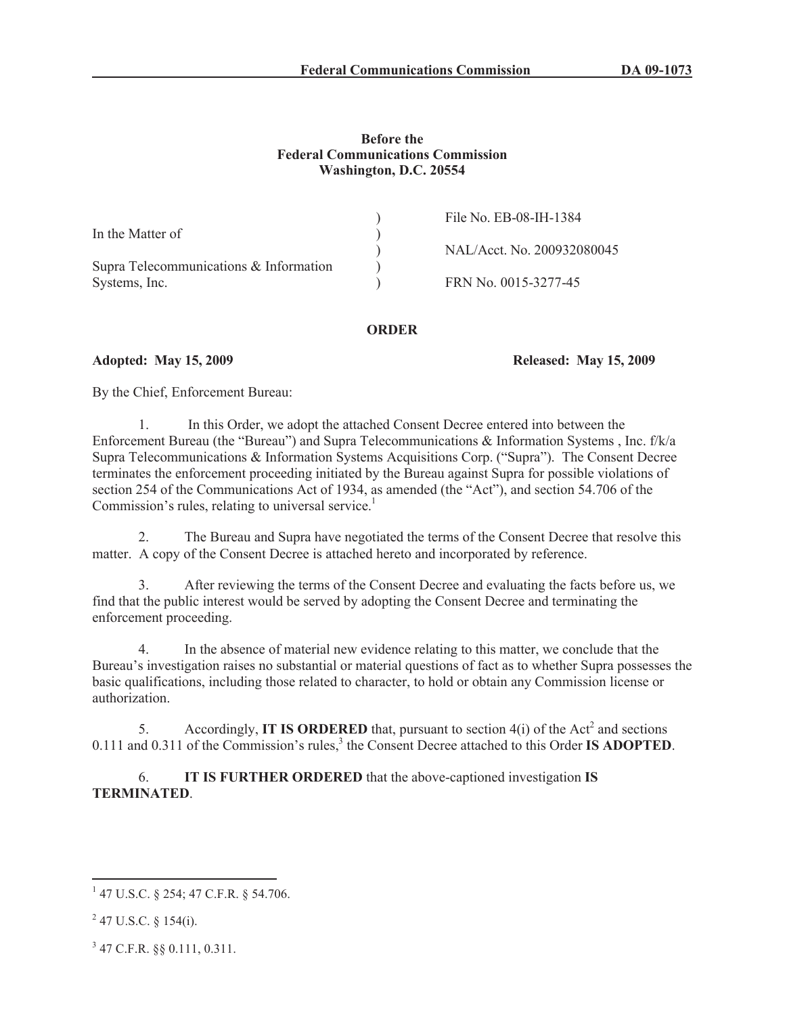#### **Before the Federal Communications Commission Washington, D.C. 20554**

|                                        | File No. EB-08-IH-1384     |
|----------------------------------------|----------------------------|
| In the Matter of                       |                            |
|                                        | NAL/Acct. No. 200932080045 |
| Supra Telecommunications & Information |                            |
| Systems, Inc.                          | FRN No. 0015-3277-45       |

#### **ORDER**

**Adopted: May 15, 2009 Released: May 15, 2009**

By the Chief, Enforcement Bureau:

1. In this Order, we adopt the attached Consent Decree entered into between the Enforcement Bureau (the "Bureau") and Supra Telecommunications & Information Systems , Inc. f/k/a Supra Telecommunications & Information Systems Acquisitions Corp. ("Supra"). The Consent Decree terminates the enforcement proceeding initiated by the Bureau against Supra for possible violations of section 254 of the Communications Act of 1934, as amended (the "Act"), and section 54.706 of the Commission's rules, relating to universal service.<sup>1</sup>

2. The Bureau and Supra have negotiated the terms of the Consent Decree that resolve this matter. A copy of the Consent Decree is attached hereto and incorporated by reference.

3. After reviewing the terms of the Consent Decree and evaluating the facts before us, we find that the public interest would be served by adopting the Consent Decree and terminating the enforcement proceeding.

4. In the absence of material new evidence relating to this matter, we conclude that the Bureau's investigation raises no substantial or material questions of fact as to whether Supra possesses the basic qualifications, including those related to character, to hold or obtain any Commission license or authorization.

5. Accordingly, **IT IS ORDERED** that, pursuant to section  $4(i)$  of the Act<sup>2</sup> and sections 0.111 and 0.311 of the Commission's rules,<sup>3</sup> the Consent Decree attached to this Order **IS ADOPTED**.

6. **IT IS FURTHER ORDERED** that the above-captioned investigation **IS TERMINATED**.

<sup>1</sup> 47 U.S.C. § 254; 47 C.F.R. § 54.706.

 $2$  47 U.S.C. § 154(i).

<sup>3</sup> 47 C.F.R. §§ 0.111, 0.311.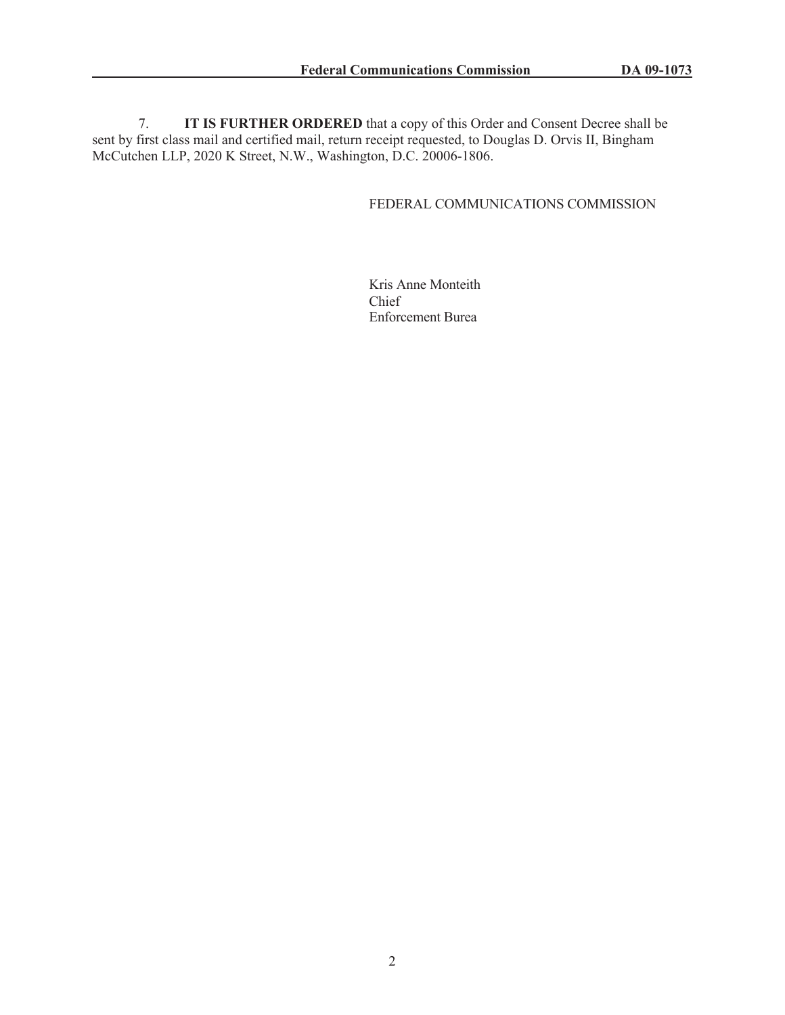7. **IT IS FURTHER ORDERED** that a copy of this Order and Consent Decree shall be sent by first class mail and certified mail, return receipt requested, to Douglas D. Orvis II, Bingham McCutchen LLP, 2020 K Street, N.W., Washington, D.C. 20006-1806.

## FEDERAL COMMUNICATIONS COMMISSION

Kris Anne Monteith Chief Enforcement Burea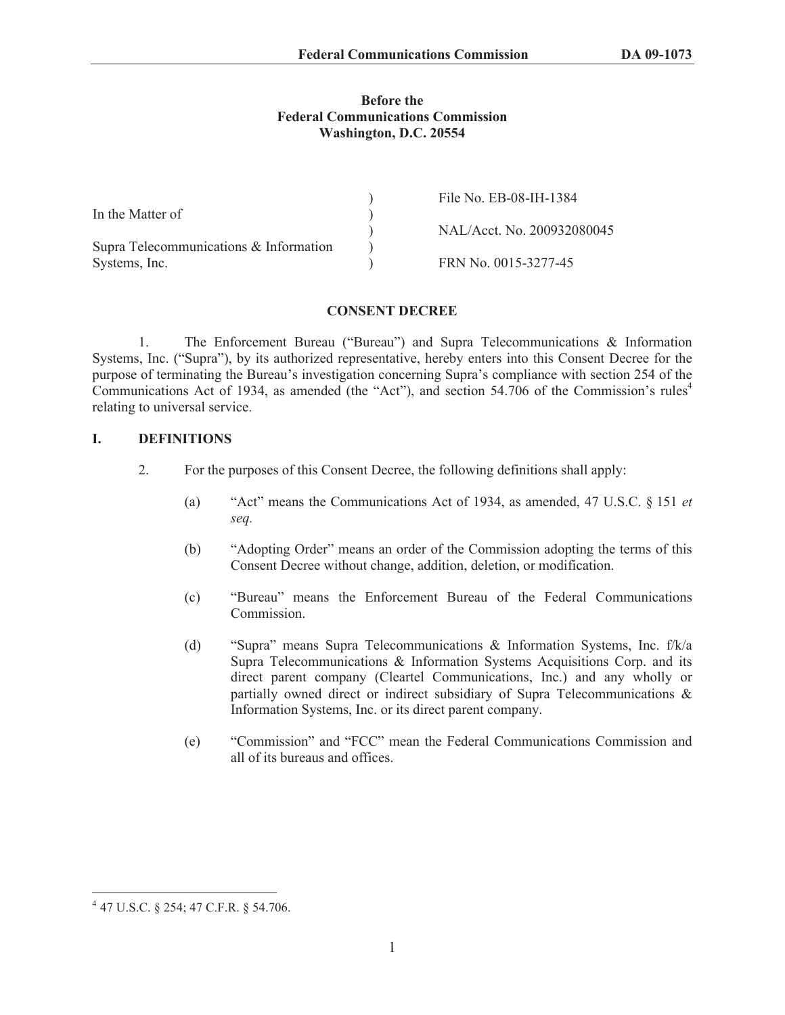#### **Before the Federal Communications Commission Washington, D.C. 20554**

|                                        | File No. EB-08-IH-1384     |
|----------------------------------------|----------------------------|
| In the Matter of                       |                            |
|                                        | NAL/Acct. No. 200932080045 |
| Supra Telecommunications & Information |                            |
| Systems, Inc.                          | FRN No. 0015-3277-45       |

## **CONSENT DECREE**

1. The Enforcement Bureau ("Bureau") and Supra Telecommunications & Information Systems, Inc. ("Supra"), by its authorized representative, hereby enters into this Consent Decree for the purpose of terminating the Bureau's investigation concerning Supra's compliance with section 254 of the Communications Act of 1934, as amended (the "Act"), and section 54.706 of the Commission's rules<sup>4</sup> relating to universal service.

## **I. DEFINITIONS**

- 2. For the purposes of this Consent Decree, the following definitions shall apply:
	- (a) "Act" means the Communications Act of 1934, as amended, 47 U.S.C. § 151 *et seq.*
	- (b) "Adopting Order" means an order of the Commission adopting the terms of this Consent Decree without change, addition, deletion, or modification.
	- (c) "Bureau" means the Enforcement Bureau of the Federal Communications **Commission**
	- (d) "Supra" means Supra Telecommunications & Information Systems, Inc. f/k/a Supra Telecommunications & Information Systems Acquisitions Corp. and its direct parent company (Cleartel Communications, Inc.) and any wholly or partially owned direct or indirect subsidiary of Supra Telecommunications & Information Systems, Inc. or its direct parent company.
	- (e) "Commission" and "FCC" mean the Federal Communications Commission and all of its bureaus and offices.

<sup>4</sup> 47 U.S.C. § 254; 47 C.F.R. § 54.706.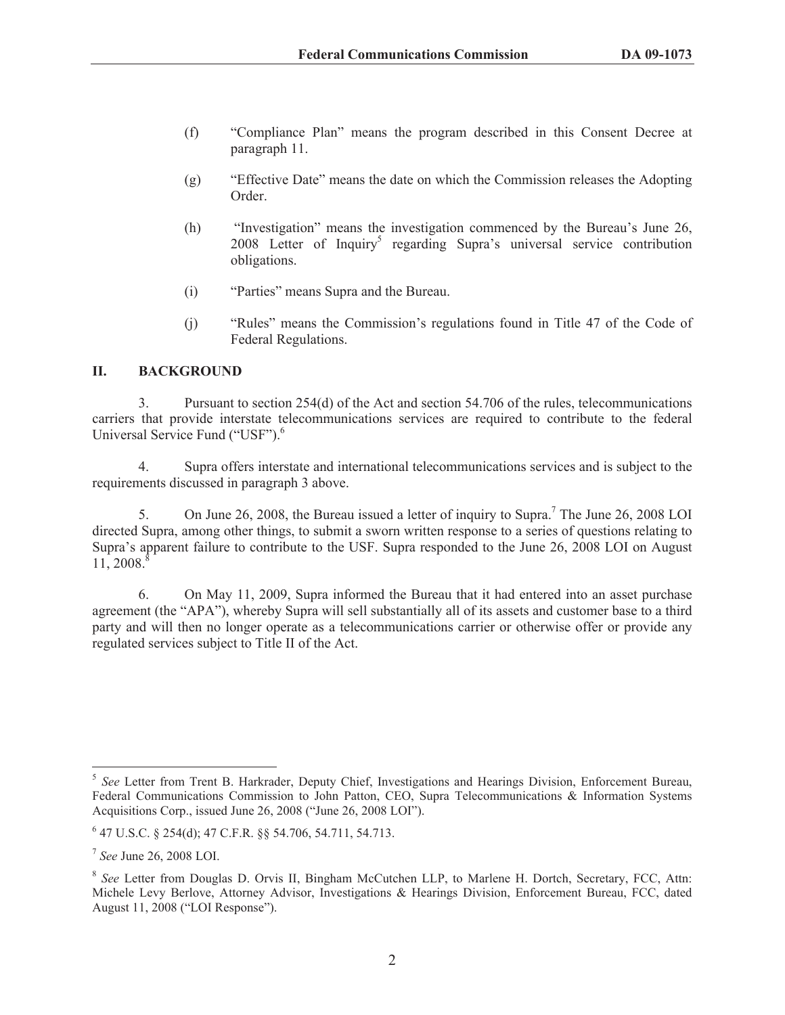- (f) "Compliance Plan" means the program described in this Consent Decree at paragraph 11.
- (g) "Effective Date" means the date on which the Commission releases the Adopting Order.
- (h) "Investigation" means the investigation commenced by the Bureau's June 26, 2008 Letter of Inquiry<sup>5</sup> regarding Supra's universal service contribution obligations.
- (i) "Parties" means Supra and the Bureau.
- (j) "Rules" means the Commission's regulations found in Title 47 of the Code of Federal Regulations.

## **II. BACKGROUND**

3. Pursuant to section 254(d) of the Act and section 54.706 of the rules, telecommunications carriers that provide interstate telecommunications services are required to contribute to the federal Universal Service Fund ("USF").<sup>6</sup>

4. Supra offers interstate and international telecommunications services and is subject to the requirements discussed in paragraph 3 above.

5. On June 26, 2008, the Bureau issued a letter of inquiry to Supra.<sup>7</sup> The June 26, 2008 LOI directed Supra, among other things, to submit a sworn written response to a series of questions relating to Supra's apparent failure to contribute to the USF. Supra responded to the June 26, 2008 LOI on August 11, 2008.<sup>8</sup>

6. On May 11, 2009, Supra informed the Bureau that it had entered into an asset purchase agreement (the "APA"), whereby Supra will sell substantially all of its assets and customer base to a third party and will then no longer operate as a telecommunications carrier or otherwise offer or provide any regulated services subject to Title II of the Act.

<sup>5</sup> *See* Letter from Trent B. Harkrader, Deputy Chief, Investigations and Hearings Division, Enforcement Bureau, Federal Communications Commission to John Patton, CEO, Supra Telecommunications & Information Systems Acquisitions Corp., issued June 26, 2008 ("June 26, 2008 LOI").

<sup>6</sup> 47 U.S.C. § 254(d); 47 C.F.R. §§ 54.706, 54.711, 54.713.

<sup>7</sup> *See* June 26, 2008 LOI.

<sup>8</sup> *See* Letter from Douglas D. Orvis II, Bingham McCutchen LLP, to Marlene H. Dortch, Secretary, FCC, Attn: Michele Levy Berlove, Attorney Advisor, Investigations & Hearings Division, Enforcement Bureau, FCC, dated August 11, 2008 ("LOI Response").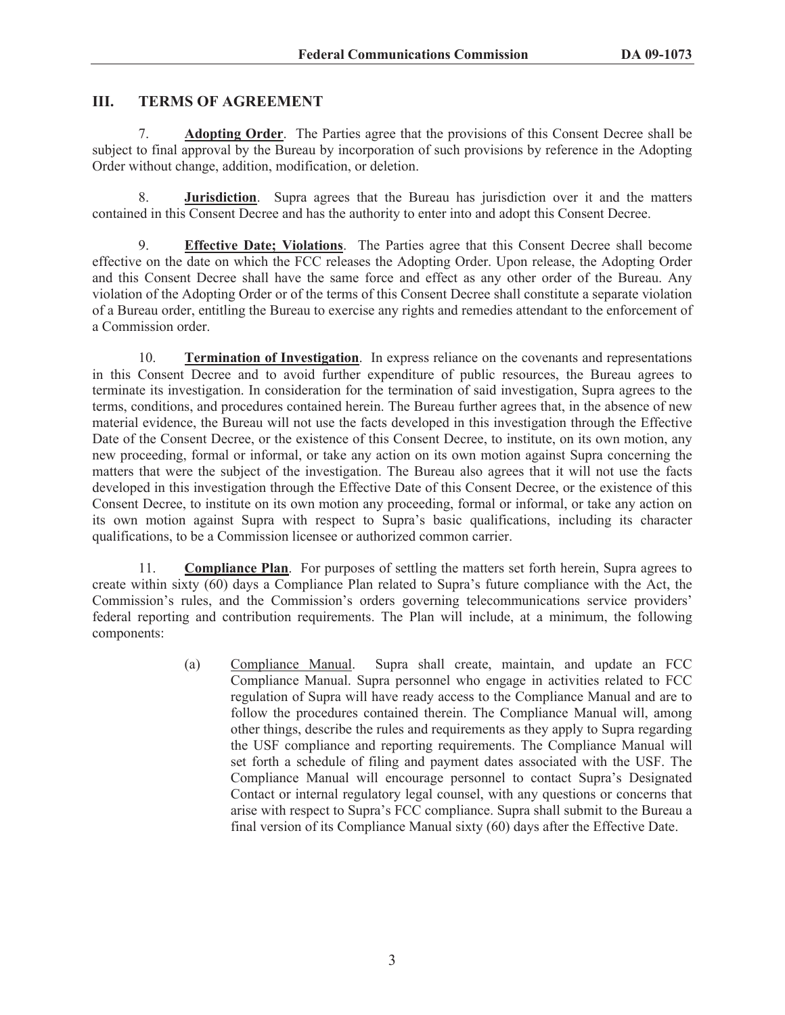# **III. TERMS OF AGREEMENT**

7. **Adopting Order**. The Parties agree that the provisions of this Consent Decree shall be subject to final approval by the Bureau by incorporation of such provisions by reference in the Adopting Order without change, addition, modification, or deletion.

8. **Jurisdiction**. Supra agrees that the Bureau has jurisdiction over it and the matters contained in this Consent Decree and has the authority to enter into and adopt this Consent Decree.

9. **Effective Date; Violations**. The Parties agree that this Consent Decree shall become effective on the date on which the FCC releases the Adopting Order. Upon release, the Adopting Order and this Consent Decree shall have the same force and effect as any other order of the Bureau. Any violation of the Adopting Order or of the terms of this Consent Decree shall constitute a separate violation of a Bureau order, entitling the Bureau to exercise any rights and remedies attendant to the enforcement of a Commission order.

10. **Termination of Investigation**. In express reliance on the covenants and representations in this Consent Decree and to avoid further expenditure of public resources, the Bureau agrees to terminate its investigation. In consideration for the termination of said investigation, Supra agrees to the terms, conditions, and procedures contained herein. The Bureau further agrees that, in the absence of new material evidence, the Bureau will not use the facts developed in this investigation through the Effective Date of the Consent Decree, or the existence of this Consent Decree, to institute, on its own motion, any new proceeding, formal or informal, or take any action on its own motion against Supra concerning the matters that were the subject of the investigation. The Bureau also agrees that it will not use the facts developed in this investigation through the Effective Date of this Consent Decree, or the existence of this Consent Decree, to institute on its own motion any proceeding, formal or informal, or take any action on its own motion against Supra with respect to Supra's basic qualifications, including its character qualifications, to be a Commission licensee or authorized common carrier.

11. **Compliance Plan**. For purposes of settling the matters set forth herein, Supra agrees to create within sixty (60) days a Compliance Plan related to Supra's future compliance with the Act, the Commission's rules, and the Commission's orders governing telecommunications service providers' federal reporting and contribution requirements. The Plan will include, at a minimum, the following components:

> (a) Compliance Manual. Supra shall create, maintain, and update an FCC Compliance Manual. Supra personnel who engage in activities related to FCC regulation of Supra will have ready access to the Compliance Manual and are to follow the procedures contained therein. The Compliance Manual will, among other things, describe the rules and requirements as they apply to Supra regarding the USF compliance and reporting requirements. The Compliance Manual will set forth a schedule of filing and payment dates associated with the USF. The Compliance Manual will encourage personnel to contact Supra's Designated Contact or internal regulatory legal counsel, with any questions or concerns that arise with respect to Supra's FCC compliance. Supra shall submit to the Bureau a final version of its Compliance Manual sixty (60) days after the Effective Date.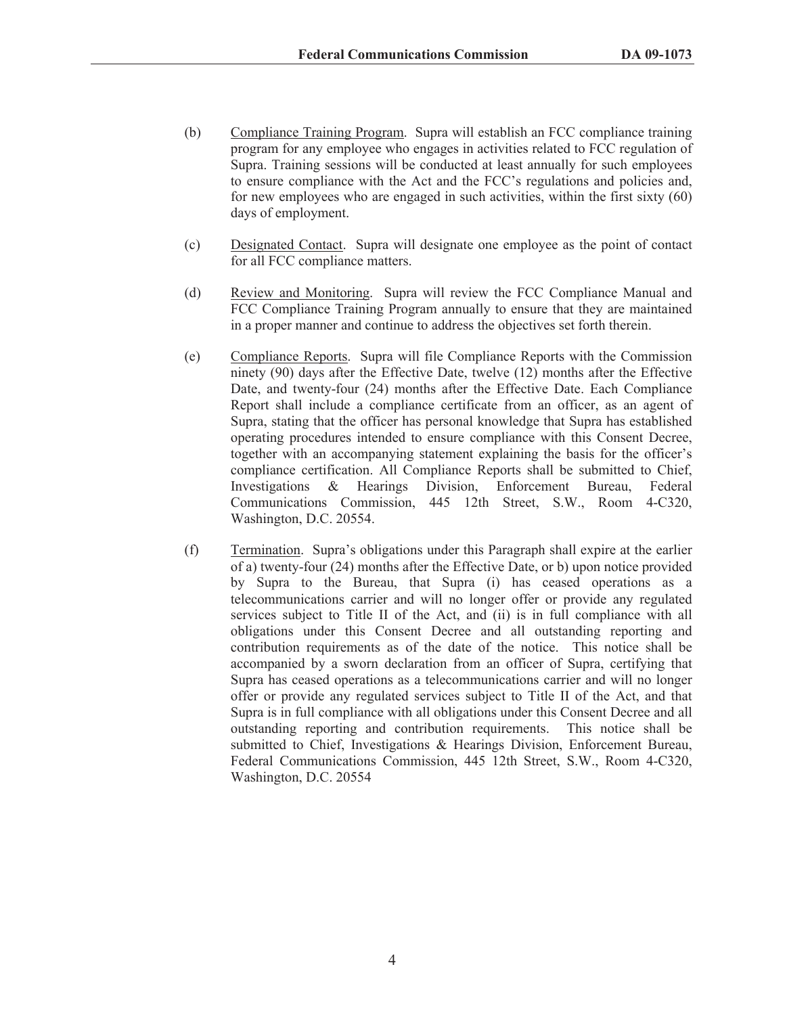- (b) Compliance Training Program. Supra will establish an FCC compliance training program for any employee who engages in activities related to FCC regulation of Supra. Training sessions will be conducted at least annually for such employees to ensure compliance with the Act and the FCC's regulations and policies and, for new employees who are engaged in such activities, within the first sixty (60) days of employment.
- (c) Designated Contact. Supra will designate one employee as the point of contact for all FCC compliance matters.
- (d) Review and Monitoring. Supra will review the FCC Compliance Manual and FCC Compliance Training Program annually to ensure that they are maintained in a proper manner and continue to address the objectives set forth therein.
- (e) Compliance Reports. Supra will file Compliance Reports with the Commission ninety (90) days after the Effective Date, twelve (12) months after the Effective Date, and twenty-four (24) months after the Effective Date. Each Compliance Report shall include a compliance certificate from an officer, as an agent of Supra, stating that the officer has personal knowledge that Supra has established operating procedures intended to ensure compliance with this Consent Decree, together with an accompanying statement explaining the basis for the officer's compliance certification. All Compliance Reports shall be submitted to Chief, Investigations & Hearings Division, Enforcement Bureau, Federal Communications Commission, 445 12th Street, S.W., Room 4-C320, Washington, D.C. 20554.
- (f) Termination. Supra's obligations under this Paragraph shall expire at the earlier of a) twenty-four (24) months after the Effective Date, or b) upon notice provided by Supra to the Bureau, that Supra (i) has ceased operations as a telecommunications carrier and will no longer offer or provide any regulated services subject to Title II of the Act, and (ii) is in full compliance with all obligations under this Consent Decree and all outstanding reporting and contribution requirements as of the date of the notice. This notice shall be accompanied by a sworn declaration from an officer of Supra, certifying that Supra has ceased operations as a telecommunications carrier and will no longer offer or provide any regulated services subject to Title II of the Act, and that Supra is in full compliance with all obligations under this Consent Decree and all outstanding reporting and contribution requirements. This notice shall be submitted to Chief, Investigations & Hearings Division, Enforcement Bureau, Federal Communications Commission, 445 12th Street, S.W., Room 4-C320, Washington, D.C. 20554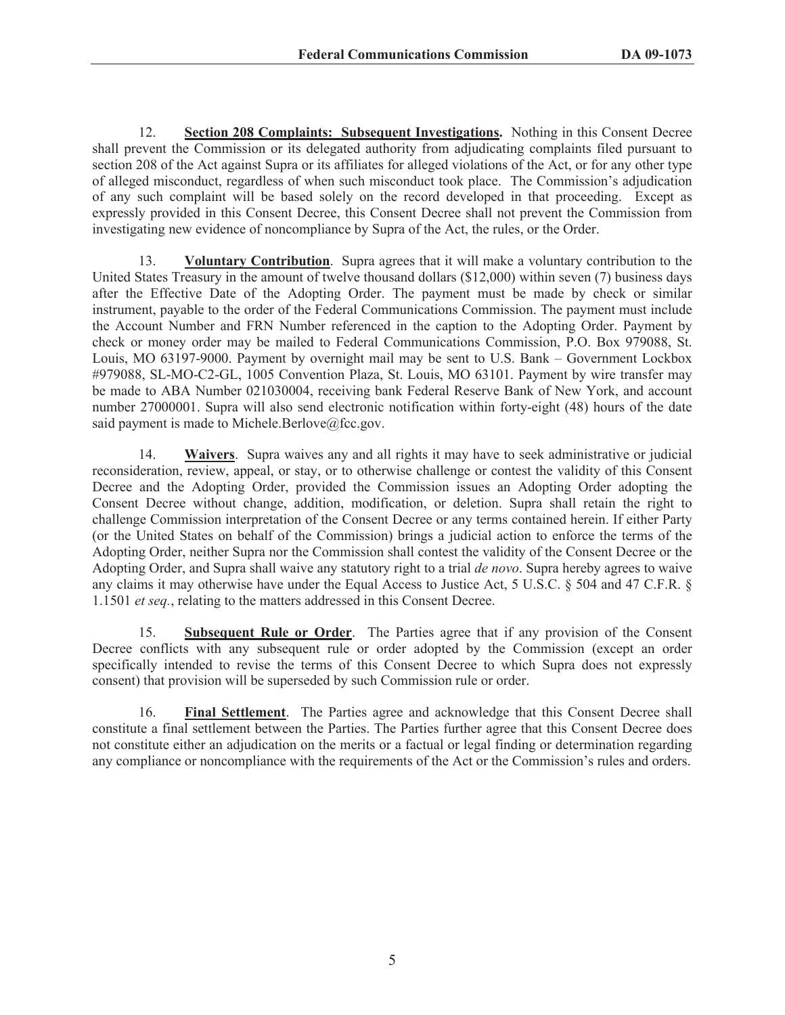12. **Section 208 Complaints: Subsequent Investigations.** Nothing in this Consent Decree shall prevent the Commission or its delegated authority from adjudicating complaints filed pursuant to section 208 of the Act against Supra or its affiliates for alleged violations of the Act, or for any other type of alleged misconduct, regardless of when such misconduct took place. The Commission's adjudication of any such complaint will be based solely on the record developed in that proceeding. Except as expressly provided in this Consent Decree, this Consent Decree shall not prevent the Commission from investigating new evidence of noncompliance by Supra of the Act, the rules, or the Order.

13. **Voluntary Contribution**. Supra agrees that it will make a voluntary contribution to the United States Treasury in the amount of twelve thousand dollars (\$12,000) within seven (7) business days after the Effective Date of the Adopting Order. The payment must be made by check or similar instrument, payable to the order of the Federal Communications Commission. The payment must include the Account Number and FRN Number referenced in the caption to the Adopting Order. Payment by check or money order may be mailed to Federal Communications Commission, P.O. Box 979088, St. Louis, MO 63197-9000. Payment by overnight mail may be sent to U.S. Bank – Government Lockbox #979088, SL-MO-C2-GL, 1005 Convention Plaza, St. Louis, MO 63101. Payment by wire transfer may be made to ABA Number 021030004, receiving bank Federal Reserve Bank of New York, and account number 27000001. Supra will also send electronic notification within forty-eight (48) hours of the date said payment is made to Michele.Berlove@fcc.gov.

14. **Waivers**. Supra waives any and all rights it may have to seek administrative or judicial reconsideration, review, appeal, or stay, or to otherwise challenge or contest the validity of this Consent Decree and the Adopting Order, provided the Commission issues an Adopting Order adopting the Consent Decree without change, addition, modification, or deletion. Supra shall retain the right to challenge Commission interpretation of the Consent Decree or any terms contained herein. If either Party (or the United States on behalf of the Commission) brings a judicial action to enforce the terms of the Adopting Order, neither Supra nor the Commission shall contest the validity of the Consent Decree or the Adopting Order, and Supra shall waive any statutory right to a trial *de novo*. Supra hereby agrees to waive any claims it may otherwise have under the Equal Access to Justice Act, 5 U.S.C. § 504 and 47 C.F.R. § 1.1501 *et seq.*, relating to the matters addressed in this Consent Decree.

15. **Subsequent Rule or Order**. The Parties agree that if any provision of the Consent Decree conflicts with any subsequent rule or order adopted by the Commission (except an order specifically intended to revise the terms of this Consent Decree to which Supra does not expressly consent) that provision will be superseded by such Commission rule or order.

16. **Final Settlement**. The Parties agree and acknowledge that this Consent Decree shall constitute a final settlement between the Parties. The Parties further agree that this Consent Decree does not constitute either an adjudication on the merits or a factual or legal finding or determination regarding any compliance or noncompliance with the requirements of the Act or the Commission's rules and orders.